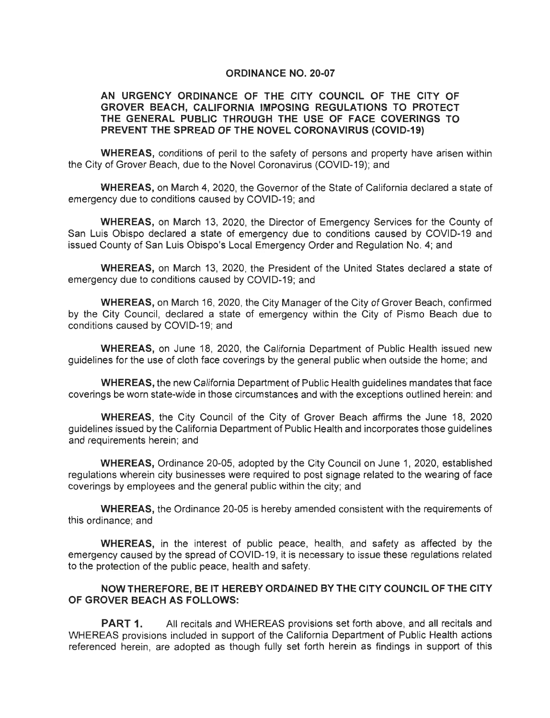#### **ORDINANCE NO. 20-07**

#### **AN URGENCY ORDINANCE OF THE CITY COUNCIL OF THE CITY OF GROVER BEACH, CALIFORNIA IMPOSING REGULATIONS TO PROTECT THE GENERAL PUBLIC THROUGH THE USE OF FACE COVERINGS TO PREVENT THE SPREAD OF THE NOVEL CORONAVIRUS (COVID-19)**

**WHEREAS,** conditions of peril to the safety of persons and property have arisen within the City of Grover Beach, due to the Novel Coronavirus (COVID-19); and

**WHEREAS,** on March 4, 2020, the Governor of the State of California declared a state of emergency due to conditions caused by COVID-19; and

**WHEREAS,** on March 13, 2020, the Director of Emergency Services for the County of San Luis Obispo declared a state of emergency due to conditions caused by COVID-19 and issued County of San Luis Obispo's Local Emergency Order and Regulation No. 4; and

**WHEREAS,** on March 13, 2020, the President of the United States declared a state of emergency due to conditions caused by COVID-19; and

**WHEREAS,** on March 16, 2020, the City Manager of the City of Grover Beach, confirmed by the City Council, declared a state of emergency within the City of Pismo Beach due to conditions caused by COVID-19; and

**WHEREAS,** on June 18, 2020, the California Department of Public Health issued new guidelines for the use of cloth face coverings by the general public when outside the home; and

**WHEREAS,** the new California Department of Public Health guidelines mandates that face coverings be worn state-wide in those circumstances and with the exceptions outlined herein: and

**WHEREAS,** the City Council of the City of Grover Beach affirms the June 18, 2020 guidelines issued by the California Department of Public Health and incorporates those guidelines and requirements herein; and

**WHEREAS,** Ordinance 20-05, adopted by the City Council on June 1, 2020, established regulations wherein city businesses were required to post signage related to the wearing of face coverings by employees and the general public within the city; and

**WHEREAS,** the Ordinance 20-05 is hereby amended consistent with the requirements of this ordinance; and

**WHEREAS,** in the interest of public peace, health, and safety as affected by the emergency caused by the spread of COVID-19, it is necessary to issue these regulations related to the protection of the public peace, health and safety.

### **NOW THEREFORE, BE IT HEREBY ORDAINED BY THE CITY COUNCIL OF THE CITY OF GROVER BEACH AS FOLLOWS:**

**PART 1.** All recitals and WHEREAS provisions set forth above, and all recitals and WHEREAS provisions included in support of the California Department of Public Health actions referenced herein, are adopted as though fully set forth herein as findings in support of this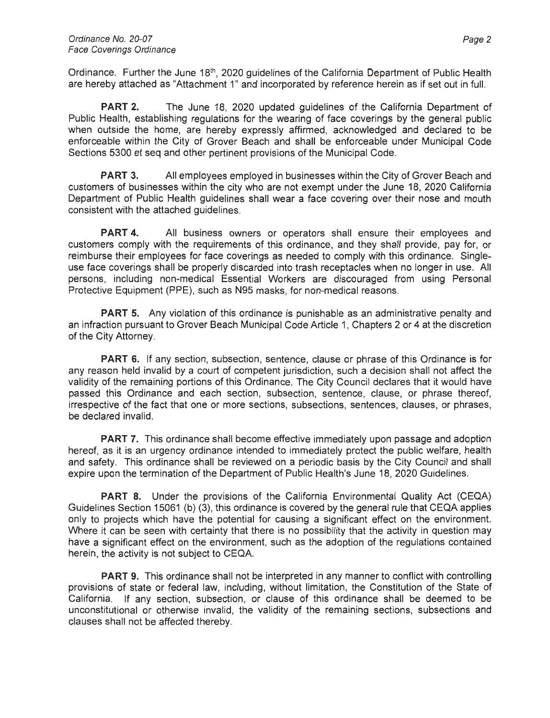Ordinance. Further the June 18<sup>th</sup>, 2020 guidelines of the California Department of Public Health are hereby attached as "Attachment 1" and incorporated by reference herein as if set out in full.

**PART 2.** The June 18, 2020 updated guidelines of the California Department of Public Health, establishing regulations for the wearing of face coverings by the general public when outside the home, are hereby expressly affirmed, acknowledged and declared to be enforceable within the City of Grover Beach and shall be enforceable under Municipal Code Sections 5300 et seq and other pertinent provisions of the Municipal Code.

**PART 3.** All employees employed in businesses within the City of Grover Beach and customers of businesses within the city who are not exempt under the June 18, 2020 California Department of Public Health guidelines shall wear a face covering over their nose and mouth consistent with the attached guidelines.

**PART 4.** All business owners or operators shall ensure their employees and customers comply with the requirements of this ordinance, and they shall provide, pay for, or reimburse their employees for face coverings as needed to comply with this ordinance. Singleuse face coverings shall be properly discarded into trash receptacles when no longer in use. All persons, including non-medical Essential Workers are discouraged from using Personal Protective Equipment (PPE), such as N95 masks, for non-medical reasons.

**PART 5.** Any violation of this ordinance is punishable as an administrative penalty and an infraction pursuant to Grover Beach Municipal Code Article 1, Chapters 2 or 4 at the discretion of the City Attorney.

**PART 6.** If any section, subsection, sentence, clause or phrase of this Ordinance is for any reason held invalid by a court of competent jurisdiction, such a decision shall not affect the validity of the remaining portions of this Ordinance. The City Council declares that it would have passed this Ordinance and each section, subsection, sentence, clause, or phrase thereof, irrespective of the fact that one or more sections, subsections, sentences, clauses, or phrases, be declared invalid.

**PART 7.** This ordinance shall become effective immediately upon passage and adoption hereof, as it is an urgency ordinance intended to immediately protect the public welfare, health and safety. This ordinance shall be reviewed on a periodic basis by the City Council and shall expire upon the termination of the Department of Public Health's June 18, 2020 Guidelines.

**PART 8.** Under the provisions of the California Environmental Quality Act (CEQA) Guidelines Section 15061 (b) (3), this ordinance is covered by the general rule that CEQA applies only to projects which have the potential for causing a significant effect on the environment. Where it can be seen with certainty that there is no possibility that the activity in question may have a significant effect on the environment, such as the adoption of the regulations contained herein, the activity is not subject to CEQA.

**PART 9.** This ordinance shall not be interpreted in any manner to conflict with controlling provisions of state or federal law, including, without limitation, the Constitution of the State of California. If any section, subsection, or clause of this ordinance shall be deemed to be unconstitutional or otherwise invalid, the validity of the remaining sections, subsections and clauses shall not be affected thereby.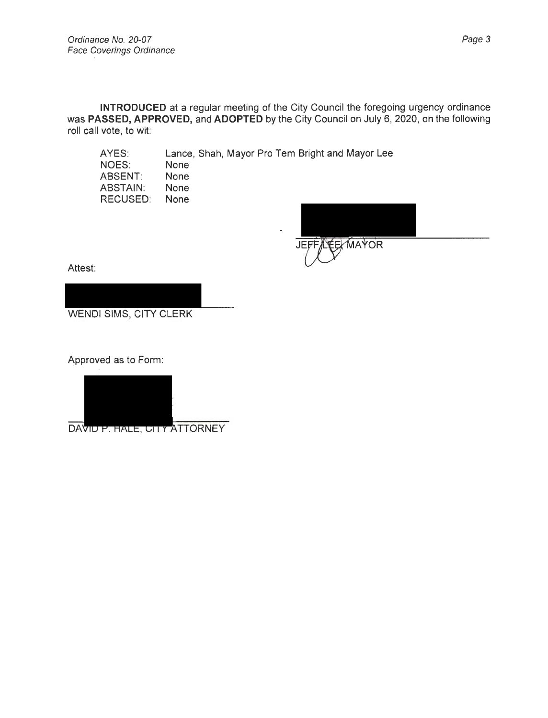AYES:

**INTRODUCED** at a regular meeting of the City Council the foregoing urgency ordinance was **PASSED, APPROVED,** and **ADOPTED** by the City Council on July 6, 2020, on the following roll call vote, to wit:

Lance, Shah, Mayor Pro Tem Bright and Mayor Lee

NOES: ABSENT: ABSTAIN: RECUSED: None None None None

ELMAYOR JEFF

Attest:

WENDI SIMS, CITY CLERK

Approved as to Form:



DAVID P. HALE, CITY ATTORNEY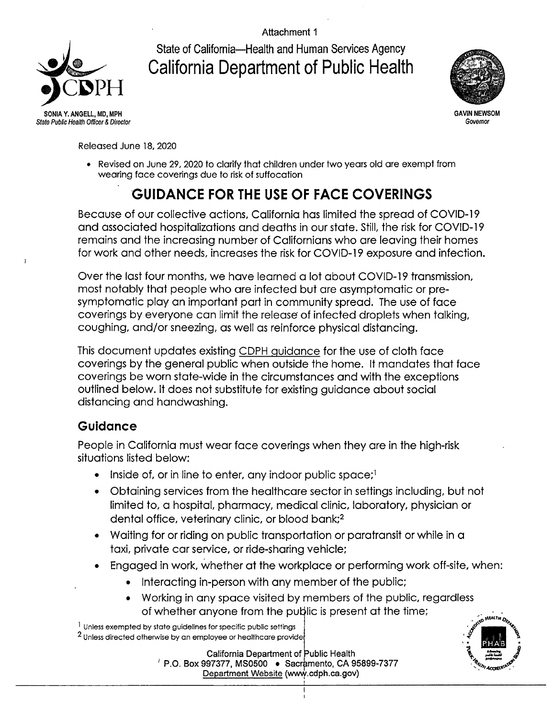Attachment 1

State of California-Health and Human Services Agency **California Department of Public Health** 



State Public Health Officer & Director

**GAVIN NEWSOM** Governor

Released June 18, 2020

• Revised on June 29, 2020 to clarify that children under two years old are exempt from wearing face coverings due to risk of suffocation

# **GUIDANCE FOR THE USE OF FACE COVERINGS**

Because of our collective actions, California has limited the spread of COVID-19 and associated hospitalizations and deaths in our state. Still, the risk for COVID-19 remains and the increasing number of Californians who are leaving their homes for work and other needs, increases the risk for COVID-19 exposure and infection.

Over the last four months, we have learned a lot about COVID-19 transmission, most notably that people who are infected but are asymptomatic or presymptomatic play an important part in community spread. The use of face coverings by everyone can limit the release of infected droplets when talking, coughing, and/or sneezing, as well as reinforce physical distancing.

This document updates existing CDPH guidance for the use of cloth face coverings by the general public when outside the home. It mandates that face coverings be worn state-wide in the circumstances and with the exceptions outlined below. It does not substitute for existing guidance about social distancing and handwashing.

# Guidance

People in California must wear face coverings when they are in the high-risk situations listed below:

- Inside of, or in line to enter, any indoor public space;<sup>1</sup>  $\bullet$
- Obtaining services from the healthcare sector in settings including, but not limited to, a hospital, pharmacy, medical clinic, laboratory, physician or dental office, veterinary clinic, or blood bank;<sup>2</sup>
- Waiting for or riding on public transportation or paratransit or while in a taxi, private car service, or ride-sharing vehicle;
- Engaged in work, whether at the workplace or performing work off-site, when:
	- Interacting in-person with any member of the public;
	- Working in any space visited by members of the public, regardless of whether anyone from the public is present at the time;

**California Department of Public Health**  $'$  P.O. Box 997377, MS0500  $\bullet$  Sacramento, CA 95899-7377 Department Website (www.cdph.ca.gov)



<sup>&</sup>lt;sup>1</sup> Unless exempted by state guidelines for specific public settings

 $2$  Unless directed otherwise by an employee or healthcare provide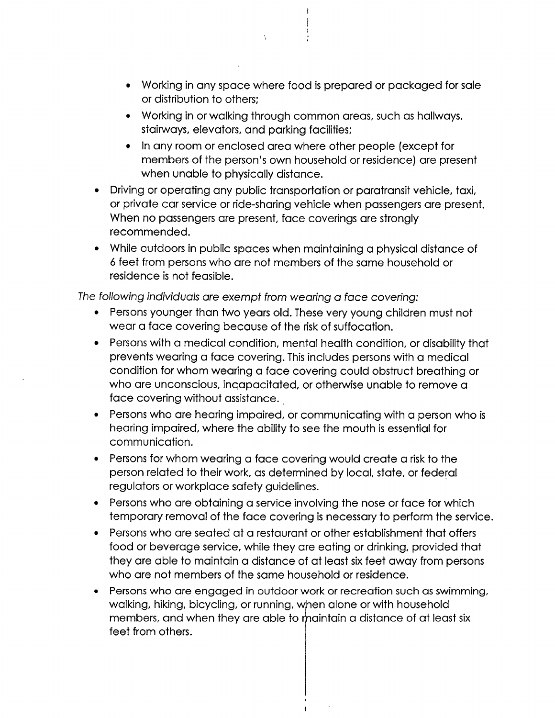- Working in any space where food is prepared or packaged for sale or distribution to others:
- Working in or walking through common areas, such as hallways, stairways, elevators, and parking facilities;

 $\mathcal{H}^+$ 

- In any room or enclosed area where other people (except for members of the person's own household or residence) are present when unable to physically distance.
- Driving or operating any public transportation or paratransit vehicle, taxi, or private car service or ride-sharing vehicle when passengers are present. When no passengers are present, face coverings are strongly recommended.
- While outdoors in public spaces when maintaining a physical distance of 6 feet from persons who are not members of the same household or residence is not feasible.

The following individuals are exempt from wearing a face covering:

- Persons younger than two years old. These very young children must not wear a face covering because of the risk of suffocation.
- Persons with a medical condition, mental health condition, or disability that  $\bullet$ prevents wearing a face covering. This includes persons with a medical condition for whom wearing a face covering could obstruct breathing or who are unconscious, incapacitated, or otherwise unable to remove a face covering without assistance.
- Persons who are hearing impaired, or communicating with a person who is hearing impaired, where the ability to see the mouth is essential for communication.
- Persons for whom wearing a face covering would create a risk to the person related to their work, as determined by local, state, or federal regulators or workplace safety guidelines.
- Persons who are obtaining a service involving the nose or face for which temporary removal of the face covering is necessary to perform the service.
- Persons who are seated at a restaurant or other establishment that offers food or beverage service, while they are eating or drinking, provided that they are able to maintain a distance of at least six feet away from persons who are not members of the same household or residence.
- Persons who are engaged in outdoor work or recreation such as swimming, walking, hiking, bicycling, or running, when alone or with household members, and when they are able to maintain a distance of at least six feet from others.